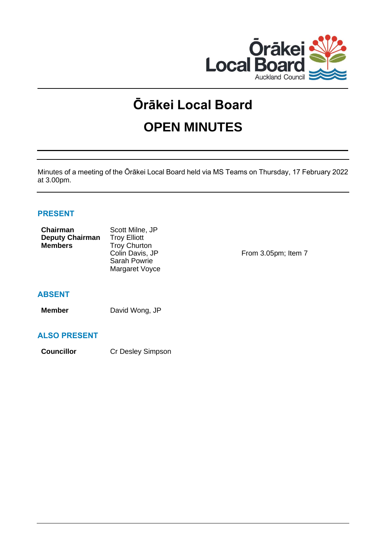

# **Ōrākei Local Board**

# **OPEN MINUTES**

Minutes of a meeting of the Ōrākei Local Board held via MS Teams on Thursday, 17 February 2022 at 3.00pm.

# **PRESENT**

| Chairman<br><b>Deputy Chairman</b><br><b>Members</b> | Scott Milne, JP<br><b>Troy Elliott</b><br><b>Troy Churton</b><br>Colin Davis, JP<br><b>Sarah Powrie</b><br>Margaret Voyce | From 3.05pm; Item 7 |
|------------------------------------------------------|---------------------------------------------------------------------------------------------------------------------------|---------------------|
|                                                      |                                                                                                                           |                     |

# **ABSENT**

**Member** David Wong, JP

# **ALSO PRESENT**

**Councillor** Cr Desley Simpson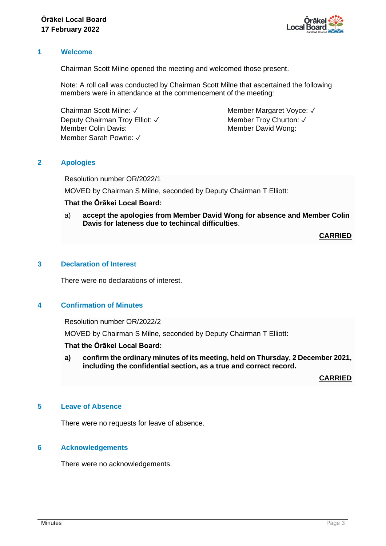

#### **1 Welcome**

Chairman Scott Milne opened the meeting and welcomed those present.

Note: A roll call was conducted by Chairman Scott Milne that ascertained the following members were in attendance at the commencement of the meeting:

Chairman Scott Milne: ✓ Deputy Chairman Troy Elliot: √ Member Colin Davis: Member Sarah Powrie: ✓

Member Margaret Voyce: √ Member Trov Churton: √ Member David Wong:

# **2 Apologies**

Resolution number OR/2022/1

MOVED by Chairman S Milne, seconded by Deputy Chairman T Elliott:

# **That the Ōrākei Local Board:**

a) **accept the apologies from Member David Wong for absence and Member Colin Davis for lateness due to techincal difficulties**.

**CARRIED**

# **3 Declaration of Interest**

There were no declarations of interest.

#### **4 Confirmation of Minutes**

Resolution number OR/2022/2

MOVED by Chairman S Milne, seconded by Deputy Chairman T Elliott:

#### **That the Ōrākei Local Board:**

**a) confirm the ordinary minutes of its meeting, held on Thursday, 2 December 2021, including the confidential section, as a true and correct record.**

**CARRIED**

# **5 Leave of Absence**

There were no requests for leave of absence.

# **6 Acknowledgements**

There were no acknowledgements.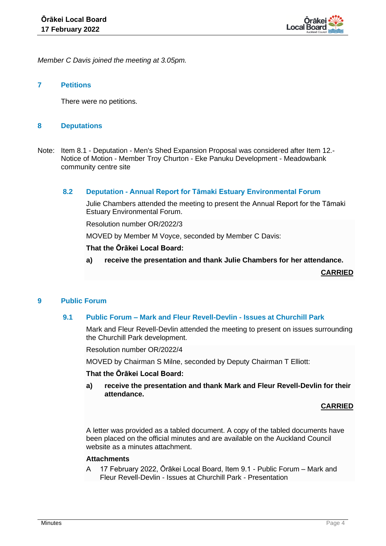

*Member C Davis joined the meeting at 3.05pm.*

### **7 Petitions**

There were no petitions.

### **8 Deputations**

Note: Item 8.1 - Deputation - Men's Shed Expansion Proposal was considered after Item 12.- Notice of Motion - Member Troy Churton - Eke Panuku Development - Meadowbank community centre site

# **8.2 Deputation - Annual Report for Tāmaki Estuary Environmental Forum**

Julie Chambers attended the meeting to present the Annual Report for the Tāmaki Estuary Environmental Forum.

Resolution number OR/2022/3

MOVED by Member M Voyce, seconded by Member C Davis:

#### **That the Ōrākei Local Board:**

**a) receive the presentation and thank Julie Chambers for her attendance.**

**CARRIED**

#### **9 Public Forum**

#### **9.1 Public Forum – Mark and Fleur Revell-Devlin - Issues at Churchill Park**

Mark and Fleur Revell-Devlin attended the meeting to present on issues surrounding the Churchill Park development.

Resolution number OR/2022/4

MOVED by Chairman S Milne, seconded by Deputy Chairman T Elliott:

#### **That the Ōrākei Local Board:**

**a) receive the presentation and thank Mark and Fleur Revell-Devlin for their attendance.**

#### **CARRIED**

A letter was provided as a tabled document. A copy of the tabled documents have been placed on the official minutes and are available on the Auckland Council website as a minutes attachment.

# **Attachments**

A 17 February 2022, Ōrākei Local Board, Item 9.1 - Public Forum – Mark and Fleur Revell-Devlin - Issues at Churchill Park - Presentation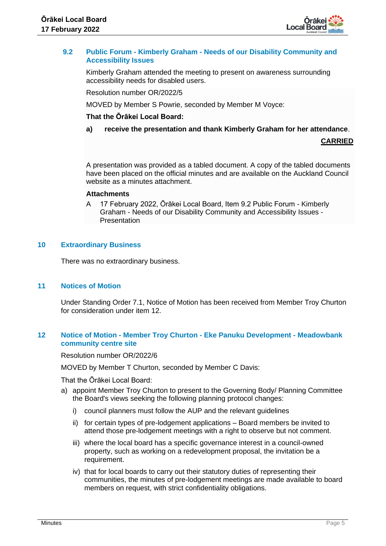

# **9.2 Public Forum - Kimberly Graham - Needs of our Disability Community and Accessibility Issues**

Kimberly Graham attended the meeting to present on awareness surrounding accessibility needs for disabled users.

Resolution number OR/2022/5

MOVED by Member S Powrie, seconded by Member M Voyce:

# **That the Ōrākei Local Board:**

# **a) receive the presentation and thank Kimberly Graham for her attendance**.

### **CARRIED**

A presentation was provided as a tabled document. A copy of the tabled documents have been placed on the official minutes and are available on the Auckland Council website as a minutes attachment.

#### **Attachments**

A 17 February 2022, Ōrākei Local Board, Item 9.2 Public Forum - Kimberly Graham - Needs of our Disability Community and Accessibility Issues - Presentation

# **10 Extraordinary Business**

There was no extraordinary business.

#### **11 Notices of Motion**

Under Standing Order 7.1, Notice of Motion has been received from Member Troy Churton for consideration under item 12.

# **12 Notice of Motion - Member Troy Churton - Eke Panuku Development - Meadowbank community centre site**

Resolution number OR/2022/6

MOVED by Member T Churton, seconded by Member C Davis:

That the Ōrākei Local Board:

- a) appoint Member Troy Churton to present to the Governing Body/ Planning Committee the Board's views seeking the following planning protocol changes:
	- i) council planners must follow the AUP and the relevant guidelines
	- ii) for certain types of pre-lodgement applications Board members be invited to attend those pre-lodgement meetings with a right to observe but not comment.
	- iii) where the local board has a specific governance interest in a council-owned property, such as working on a redevelopment proposal, the invitation be a requirement.
	- iv) that for local boards to carry out their statutory duties of representing their communities, the minutes of pre-lodgement meetings are made available to board members on request, with strict confidentiality obligations.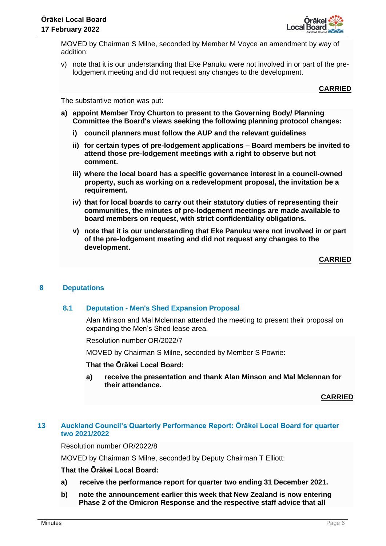

MOVED by Chairman S Milne, seconded by Member M Voyce an amendment by way of addition:

v) note that it is our understanding that Eke Panuku were not involved in or part of the prelodgement meeting and did not request any changes to the development.

#### **CARRIED**

The substantive motion was put:

- **a) appoint Member Troy Churton to present to the Governing Body/ Planning Committee the Board's views seeking the following planning protocol changes:**
	- **i) council planners must follow the AUP and the relevant guidelines**
	- **ii) for certain types of pre-lodgement applications – Board members be invited to attend those pre-lodgement meetings with a right to observe but not comment.**
	- **iii) where the local board has a specific governance interest in a council-owned property, such as working on a redevelopment proposal, the invitation be a requirement.**
	- **iv) that for local boards to carry out their statutory duties of representing their communities, the minutes of pre-lodgement meetings are made available to board members on request, with strict confidentiality obligations.**
	- **v) note that it is our understanding that Eke Panuku were not involved in or part of the pre-lodgement meeting and did not request any changes to the development.**

# **CARRIED**

# **8 Deputations**

#### **8.1 Deputation - Men's Shed Expansion Proposal**

Alan Minson and Mal Mclennan attended the meeting to present their proposal on expanding the Men's Shed lease area.

Resolution number OR/2022/7

MOVED by Chairman S Milne, seconded by Member S Powrie:

#### **That the Ōrākei Local Board:**

**a) receive the presentation and thank Alan Minson and Mal Mclennan for their attendance.**

**CARRIED**

# **13 Auckland Council's Quarterly Performance Report: Ōrākei Local Board for quarter two 2021/2022**

Resolution number OR/2022/8

MOVED by Chairman S Milne, seconded by Deputy Chairman T Elliott:

# **That the Ōrākei Local Board:**

- **a) receive the performance report for quarter two ending 31 December 2021.**
- **b) note the announcement earlier this week that New Zealand is now entering Phase 2 of the Omicron Response and the respective staff advice that all**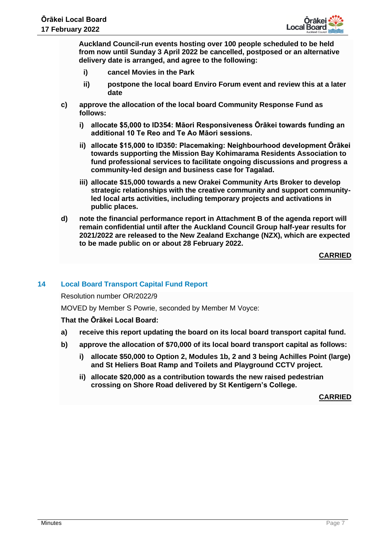

**Auckland Council-run events hosting over 100 people scheduled to be held from now until Sunday 3 April 2022 be cancelled, postposed or an alternative delivery date is arranged, and agree to the following:**

- **i) cancel Movies in the Park**
- **ii) postpone the local board Enviro Forum event and review this at a later date**
- **c) approve the allocation of the local board Community Response Fund as follows:**
	- **i) allocate \$5,000 to ID354: Māori Responsiveness Ōrākei towards funding an additional 10 Te Reo and Te Ao Māori sessions.**
	- **ii) allocate \$15,000 to ID350: Placemaking: Neighbourhood development Ōrākei towards supporting the Mission Bay Kohimarama Residents Association to fund professional services to facilitate ongoing discussions and progress a community-led design and business case for Tagalad.**
	- **iii) allocate \$15,000 towards a new Orakei Community Arts Broker to develop strategic relationships with the creative community and support communityled local arts activities, including temporary projects and activations in public places.**
- **d) note the financial performance report in Attachment B of the agenda report will remain confidential until after the Auckland Council Group half-year results for 2021/2022 are released to the New Zealand Exchange (NZX), which are expected to be made public on or about 28 February 2022.**

**CARRIED**

# **14 Local Board Transport Capital Fund Report**

Resolution number OR/2022/9

MOVED by Member S Powrie, seconded by Member M Voyce:

# **That the Ōrākei Local Board:**

- **a) receive this report updating the board on its local board transport capital fund.**
- **b) approve the allocation of \$70,000 of its local board transport capital as follows:**
	- **i) allocate \$50,000 to Option 2, Modules 1b, 2 and 3 being Achilles Point (large) and St Heliers Boat Ramp and Toilets and Playground CCTV project.**
	- **ii) allocate \$20,000 as a contribution towards the new raised pedestrian crossing on Shore Road delivered by St Kentigern's College.**

**CARRIED**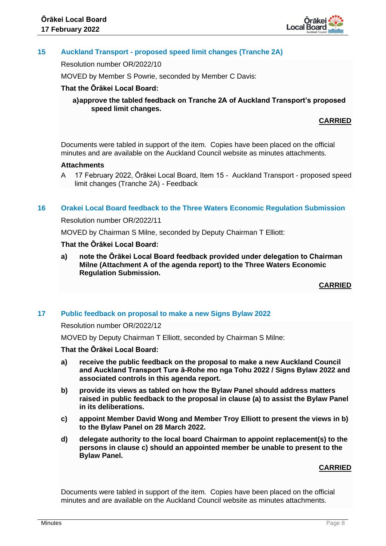

# **15 Auckland Transport - proposed speed limit changes (Tranche 2A)**

Resolution number OR/2022/10

MOVED by Member S Powrie, seconded by Member C Davis:

# **That the Ōrākei Local Board:**

**a)approve the tabled feedback on Tranche 2A of Auckland Transport's proposed speed limit changes.**

# **CARRIED**

Documents were tabled in support of the item. Copies have been placed on the official minutes and are available on the Auckland Council website as minutes attachments.

#### **Attachments**

A 17 February 2022, Ōrākei Local Board, Item 15 - Auckland Transport - proposed speed limit changes (Tranche 2A) - Feedback

#### **16 Orakei Local Board feedback to the Three Waters Economic Regulation Submission**

Resolution number OR/2022/11

MOVED by Chairman S Milne, seconded by Deputy Chairman T Elliott:

# **That the Ōrākei Local Board:**

**a) note the Ōrākei Local Board feedback provided under delegation to Chairman Milne (Attachment A of the agenda report) to the Three Waters Economic Regulation Submission.**

**CARRIED**

#### **17 Public feedback on proposal to make a new Signs Bylaw 2022**

Resolution number OR/2022/12

MOVED by Deputy Chairman T Elliott, seconded by Chairman S Milne:

#### **That the Ōrākei Local Board:**

- **a) receive the public feedback on the proposal to make a new Auckland Council and Auckland Transport Ture ā-Rohe mo nga Tohu 2022 / Signs Bylaw 2022 and associated controls in this agenda report.**
- **b) provide its views as tabled on how the Bylaw Panel should address matters raised in public feedback to the proposal in clause (a) to assist the Bylaw Panel in its deliberations.**
- **c) appoint Member David Wong and Member Troy Elliott to present the views in b) to the Bylaw Panel on 28 March 2022.**
- **d) delegate authority to the local board Chairman to appoint replacement(s) to the persons in clause c) should an appointed member be unable to present to the Bylaw Panel.**

#### **CARRIED**

Documents were tabled in support of the item. Copies have been placed on the official minutes and are available on the Auckland Council website as minutes attachments.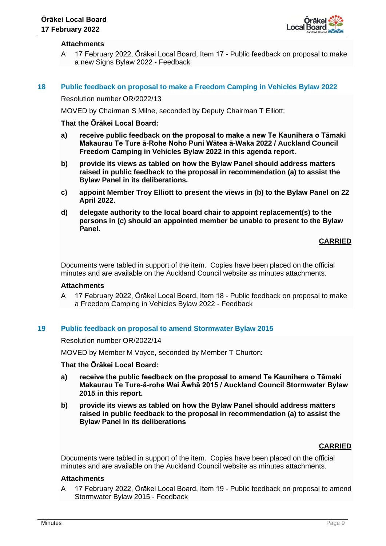

# **Attachments**

A 17 February 2022, Ōrākei Local Board, Item 17 - Public feedback on proposal to make a new Signs Bylaw 2022 - Feedback

### **18 Public feedback on proposal to make a Freedom Camping in Vehicles Bylaw 2022**

Resolution number OR/2022/13

MOVED by Chairman S Milne, seconded by Deputy Chairman T Elliott:

#### **That the Ōrākei Local Board:**

- **a) receive public feedback on the proposal to make a new Te Kaunihera o Tāmaki Makaurau Te Ture ā-Rohe Noho Puni Wātea ā-Waka 2022 / Auckland Council Freedom Camping in Vehicles Bylaw 2022 in this agenda report.**
- **b) provide its views as tabled on how the Bylaw Panel should address matters raised in public feedback to the proposal in recommendation (a) to assist the Bylaw Panel in its deliberations.**
- **c) appoint Member Troy Elliott to present the views in (b) to the Bylaw Panel on 22 April 2022.**
- **d) delegate authority to the local board chair to appoint replacement(s) to the persons in (c) should an appointed member be unable to present to the Bylaw Panel.**

### **CARRIED**

Documents were tabled in support of the item. Copies have been placed on the official minutes and are available on the Auckland Council website as minutes attachments.

#### **Attachments**

A 17 February 2022, Ōrākei Local Board, Item 18 - Public feedback on proposal to make a Freedom Camping in Vehicles Bylaw 2022 - Feedback

#### **19 Public feedback on proposal to amend Stormwater Bylaw 2015**

#### Resolution number OR/2022/14

MOVED by Member M Voyce, seconded by Member T Churton:

#### **That the Ōrākei Local Board:**

- **a) receive the public feedback on the proposal to amend Te Kaunihera o Tāmaki Makaurau Te Ture-ā-rohe Wai Āwhā 2015 / Auckland Council Stormwater Bylaw 2015 in this report.**
- **b) provide its views as tabled on how the Bylaw Panel should address matters raised in public feedback to the proposal in recommendation (a) to assist the Bylaw Panel in its deliberations**

#### **CARRIED**

Documents were tabled in support of the item. Copies have been placed on the official minutes and are available on the Auckland Council website as minutes attachments.

#### **Attachments**

A 17 February 2022, Ōrākei Local Board, Item 19 - Public feedback on proposal to amend Stormwater Bylaw 2015 - Feedback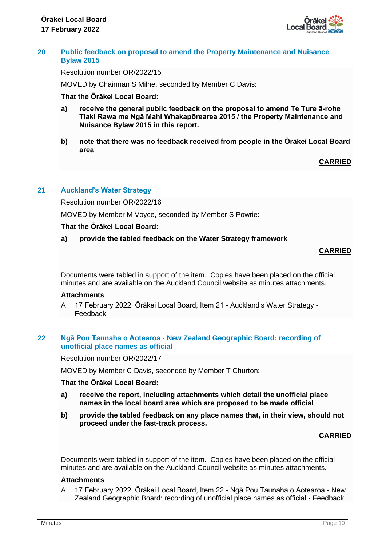

#### **20 Public feedback on proposal to amend the Property Maintenance and Nuisance Bylaw 2015**

Resolution number OR/2022/15

MOVED by Chairman S Milne, seconded by Member C Davis:

### **That the Ōrākei Local Board:**

- **a) receive the general public feedback on the proposal to amend Te Ture ā-rohe Tiaki Rawa me Ngā Mahi Whakapōrearea 2015 / the Property Maintenance and Nuisance Bylaw 2015 in this report.**
- **b) note that there was no feedback received from people in the Ōrākei Local Board area**

**CARRIED**

# **21 Auckland's Water Strategy**

Resolution number OR/2022/16

MOVED by Member M Voyce, seconded by Member S Powrie:

### **That the Ōrākei Local Board:**

### **a) provide the tabled feedback on the Water Strategy framework**

# **CARRIED**

Documents were tabled in support of the item. Copies have been placed on the official minutes and are available on the Auckland Council website as minutes attachments.

#### **Attachments**

A 17 February 2022, Ōrākei Local Board, Item 21 - Auckland's Water Strategy - Feedback

# **22 Ngā Pou Taunaha o Aotearoa - New Zealand Geographic Board: recording of unofficial place names as official**

Resolution number OR/2022/17

MOVED by Member C Davis, seconded by Member T Churton:

### **That the Ōrākei Local Board:**

- **a) receive the report, including attachments which detail the unofficial place names in the local board area which are proposed to be made official**
- **b) provide the tabled feedback on any place names that, in their view, should not proceed under the fast-track process.**

# **CARRIED**

Documents were tabled in support of the item. Copies have been placed on the official minutes and are available on the Auckland Council website as minutes attachments.

# **Attachments**

A 17 February 2022, Ōrākei Local Board, Item 22 - Ngā Pou Taunaha o Aotearoa - New Zealand Geographic Board: recording of unofficial place names as official - Feedback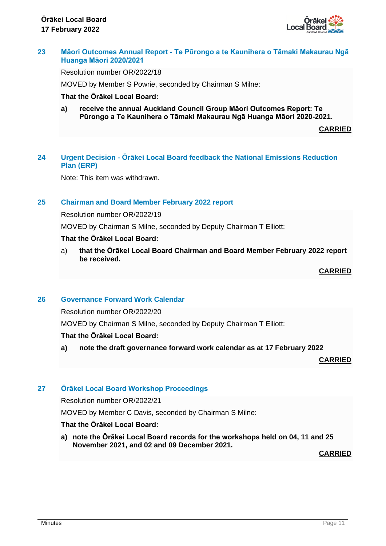

# **23 Māori Outcomes Annual Report - Te Pūrongo a te Kaunihera o Tāmaki Makaurau Ngā Huanga Māori 2020/2021**

Resolution number OR/2022/18

MOVED by Member S Powrie, seconded by Chairman S Milne:

### **That the Ōrākei Local Board:**

**a) receive the annual Auckland Council Group Māori Outcomes Report: Te Pūrongo a Te Kaunihera o Tāmaki Makaurau Ngā Huanga Māori 2020-2021.**

**CARRIED**

# **24 Urgent Decision - Ōrākei Local Board feedback the National Emissions Reduction Plan (ERP)**

Note: This item was withdrawn.

### **25 Chairman and Board Member February 2022 report**

Resolution number OR/2022/19

MOVED by Chairman S Milne, seconded by Deputy Chairman T Elliott:

#### **That the Ōrākei Local Board:**

a) **that the Ōrākei Local Board Chairman and Board Member February 2022 report be received.**

**CARRIED**

# **26 Governance Forward Work Calendar**

Resolution number OR/2022/20

MOVED by Chairman S Milne, seconded by Deputy Chairman T Elliott:

# **That the Ōrākei Local Board:**

**a) note the draft governance forward work calendar as at 17 February 2022**

**CARRIED**

# **27 Ōrākei Local Board Workshop Proceedings**

Resolution number OR/2022/21

MOVED by Member C Davis, seconded by Chairman S Milne:

# **That the Ōrākei Local Board:**

**a) note the Ōrākei Local Board records for the workshops held on 04, 11 and 25 November 2021, and 02 and 09 December 2021.**

**CARRIED**